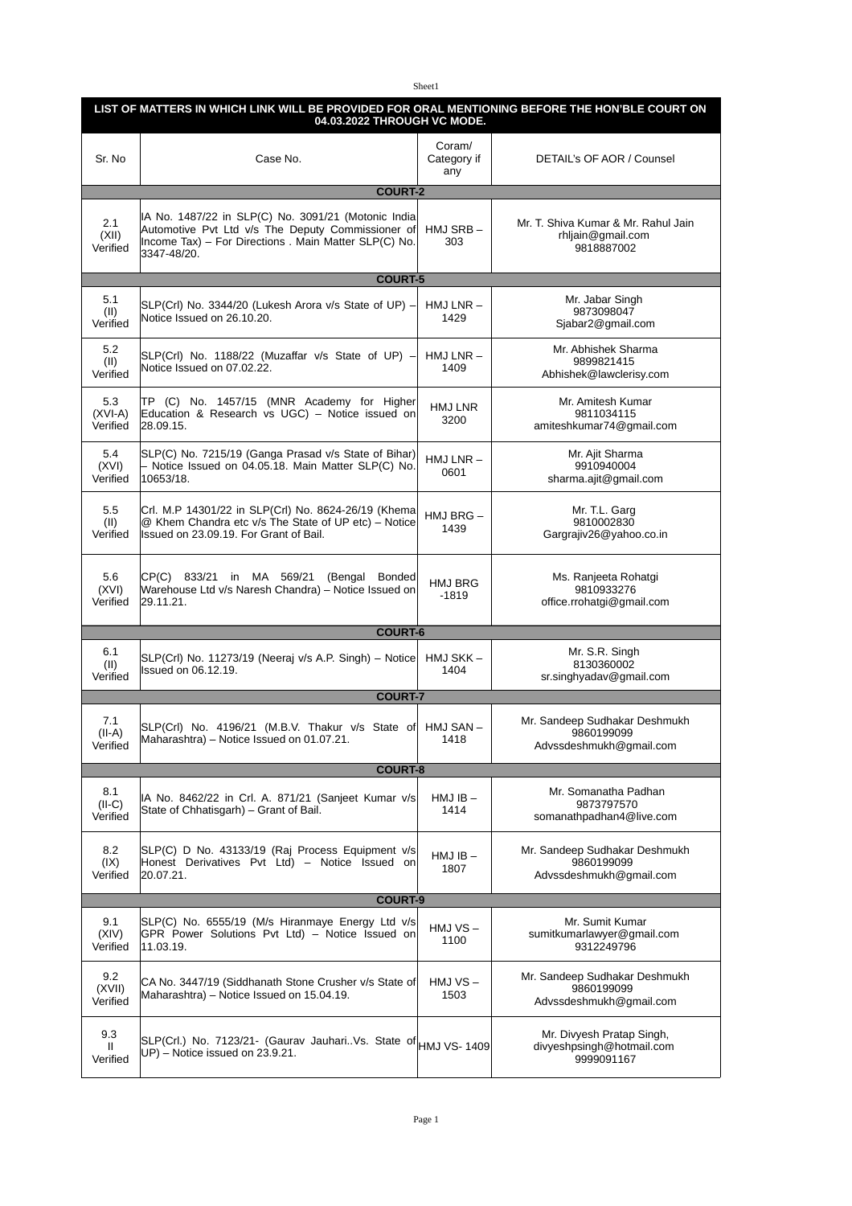## Sheet1

| LIST OF MATTERS IN WHICH LINK WILL BE PROVIDED FOR ORAL MENTIONING BEFORE THE HON'BLE COURT ON<br>04.03.2022 THROUGH VC MODE. |                                                                                                                                                                                   |                              |                                                                        |  |  |
|-------------------------------------------------------------------------------------------------------------------------------|-----------------------------------------------------------------------------------------------------------------------------------------------------------------------------------|------------------------------|------------------------------------------------------------------------|--|--|
| Sr. No                                                                                                                        | Case No.                                                                                                                                                                          | Coram/<br>Category if<br>any | DETAIL's OF AOR / Counsel                                              |  |  |
|                                                                                                                               | <b>COURT-2</b>                                                                                                                                                                    |                              |                                                                        |  |  |
| 2.1<br>(XII)<br>Verified                                                                                                      | IA No. 1487/22 in SLP(C) No. 3091/21 (Motonic India)<br>Automotive Pvt Ltd v/s The Deputy Commissioner of<br>Income Tax) - For Directions . Main Matter SLP(C) No.<br>3347-48/20. | HMJ SRB –<br>303             | Mr. T. Shiva Kumar & Mr. Rahul Jain<br>rhljain@gmail.com<br>9818887002 |  |  |
|                                                                                                                               | <b>COURT-5</b>                                                                                                                                                                    |                              |                                                                        |  |  |
| 5.1<br>(II)<br>Verified                                                                                                       | SLP(Crl) No. 3344/20 (Lukesh Arora v/s State of UP) -<br>Notice Issued on 26.10.20.                                                                                               | $HMJ LNR -$<br>1429          | Mr. Jabar Singh<br>9873098047<br>Sjabar2@gmail.com                     |  |  |
| 5.2<br>(II)<br>Verified                                                                                                       | SLP(Crl) No. 1188/22 (Muzaffar v/s State of UP) -<br>Notice Issued on 07.02.22.                                                                                                   | $HMJ LNR -$<br>1409          | Mr. Abhishek Sharma<br>9899821415<br>Abhishek@lawclerisy.com           |  |  |
| 5.3<br>$(XVI-A)$<br>Verified                                                                                                  | TP (C) No. 1457/15 (MNR Academy for Higher<br>Education & Research vs UGC) - Notice issued on<br>28.09.15.                                                                        | HMJ LNR<br>3200              | Mr. Amitesh Kumar<br>9811034115<br>amiteshkumar74@gmail.com            |  |  |
| 5.4<br>(XVI)<br>Verified                                                                                                      | SLP(C) No. 7215/19 (Ganga Prasad v/s State of Bihar)<br>- Notice Issued on 04.05.18. Main Matter SLP(C) No.<br>10653/18.                                                          | $HMJ LNR -$<br>0601          | Mr. Ajit Sharma<br>9910940004<br>sharma.ajit@gmail.com                 |  |  |
| 5.5<br>(II)<br>Verified                                                                                                       | Crl. M.P 14301/22 in SLP(Crl) No. 8624-26/19 (Khema)<br>@ Khem Chandra etc v/s The State of UP etc) - Notice<br>Issued on 23.09.19. For Grant of Bail.                            | $HMJ$ BRG $-$<br>1439        | Mr. T.L. Garg<br>9810002830<br>Gargrajiv26@yahoo.co.in                 |  |  |
| 5.6<br>(XVI)<br>Verified                                                                                                      | CP(C) 833/21 in MA 569/21 (Bengal Bonded<br>Warehouse Ltd v/s Naresh Chandra) - Notice Issued on<br>29.11.21.                                                                     | HMJ BRG<br>$-1819$           | Ms. Ranjeeta Rohatgi<br>9810933276<br>office.rrohatgi@gmail.com        |  |  |
|                                                                                                                               | <b>COURT-6</b>                                                                                                                                                                    |                              |                                                                        |  |  |
| 6.1<br>(II)<br>Verified                                                                                                       | SLP(Crl) No. 11273/19 (Neeraj v/s A.P. Singh) – Notice<br>Issued on 06.12.19.                                                                                                     | HMJ SKK-<br>1404             | Mr. S.R. Singh<br>8130360002<br>sr.singhyadav@gmail.com                |  |  |
| <b>COURT-7</b>                                                                                                                |                                                                                                                                                                                   |                              |                                                                        |  |  |
| 7.1<br>$(II-A)$<br>Verified                                                                                                   | SLP(Crl) No. 4196/21 (M.B.V. Thakur v/s State of HMJ SAN -<br>Maharashtra) – Notice Issued on 01.07.21.                                                                           | 1418                         | Mr. Sandeep Sudhakar Deshmukh<br>9860199099<br>Advssdeshmukh@gmail.com |  |  |
| <b>COURT-8</b>                                                                                                                |                                                                                                                                                                                   |                              |                                                                        |  |  |
| 8.1<br>$(II-C)$<br>Verified                                                                                                   | IA No. 8462/22 in Crl. A. 871/21 (Sanjeet Kumar v/s<br>State of Chhatisgarh) – Grant of Bail.                                                                                     | $HMJIB -$<br>1414            | Mr. Somanatha Padhan<br>9873797570<br>somanathpadhan4@live.com         |  |  |
| 8.2<br>(IX)<br>Verified                                                                                                       | SLP(C) D No. 43133/19 (Raj Process Equipment v/s<br>Honest Derivatives Pvt Ltd) - Notice Issued on<br>20.07.21.                                                                   | $HMJIB -$<br>1807            | Mr. Sandeep Sudhakar Deshmukh<br>9860199099<br>Advssdeshmukh@gmail.com |  |  |
| <b>COURT-9</b>                                                                                                                |                                                                                                                                                                                   |                              |                                                                        |  |  |
| 9.1<br>(XIV)<br>Verified                                                                                                      | SLP(C) No. 6555/19 (M/s Hiranmaye Energy Ltd v/s<br>GPR Power Solutions Pvt Ltd) - Notice Issued on<br>11.03.19.                                                                  | $HMJVS -$<br>1100            | Mr. Sumit Kumar<br>sumitkumarlawyer@gmail.com<br>9312249796            |  |  |
| 9.2<br>(XVII)<br>Verified                                                                                                     | CA No. 3447/19 (Siddhanath Stone Crusher v/s State of<br>Maharashtra) - Notice Issued on 15.04.19.                                                                                | HMJ VS-<br>1503              | Mr. Sandeep Sudhakar Deshmukh<br>9860199099<br>Advssdeshmukh@gmail.com |  |  |
| 9.3<br>$\mathbf{H}$<br>Verified                                                                                               | SLP(Crl.) No. 7123/21- (Gaurav Jauhari. Vs. State of HMJ VS-1409<br>UP) - Notice issued on 23.9.21.                                                                               |                              | Mr. Divyesh Pratap Singh,<br>divyeshpsingh@hotmail.com<br>9999091167   |  |  |